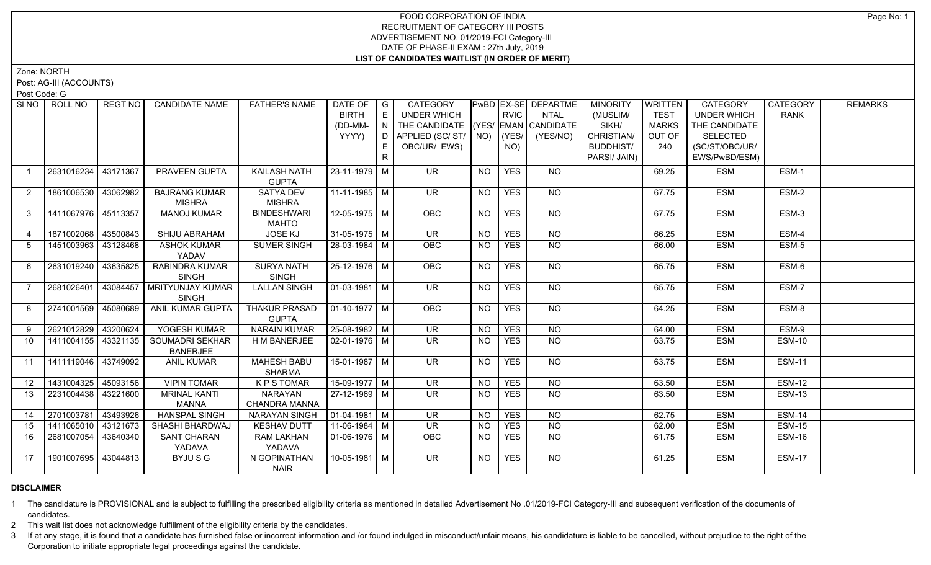Zone: NORTH

Post: AG-III (ACCOUNTS)

Post Code: G

|                | SI NO FROLL NO      | REGT NO  | <b>CANDIDATE NAME</b>                       | <b>FATHER'S NAME</b>                 | DATE OF $ G $<br><b>BIRTH</b><br>(DD-MM-<br>YYYY) | E<br>$\overline{N}$<br>D. | <b>CATEGORY</b><br><b>UNDER WHICH</b><br>THE CANDIDATE (YES/ EMAN CANDIDATE<br>APPLIED (SC/ ST/   NO)   (YES/ |                | <b>RVIC</b> | PwBD EX-SE DEPARTME<br>NTAL<br>(YES/NO) | <b>MINORITY</b><br>(MUSLIM/<br>SIKH/<br>CHRISTIAN/ | WRITTEN<br><b>TEST</b><br><b>MARKS</b><br>OUT OF | CATEGORY<br><b>UNDER WHICH</b><br>THE CANDIDATE<br><b>SELECTED</b> | <b>CATEGORY</b><br><b>RANK</b> | <b>REMARKS</b> |
|----------------|---------------------|----------|---------------------------------------------|--------------------------------------|---------------------------------------------------|---------------------------|---------------------------------------------------------------------------------------------------------------|----------------|-------------|-----------------------------------------|----------------------------------------------------|--------------------------------------------------|--------------------------------------------------------------------|--------------------------------|----------------|
|                |                     |          |                                             |                                      |                                                   | E.<br>R.                  | OBC/UR/ EWS)                                                                                                  |                | NO)         |                                         | <b>BUDDHIST/</b><br>PARSI/ JAIN)                   | 240                                              | (SC/ST/OBC/UR/<br>EWS/PwBD/ESM)                                    |                                |                |
| $\overline{1}$ | 2631016234          | 43171367 | PRAVEEN GUPTA                               | KAILASH NATH<br><b>GUPTA</b>         | 23-11-1979   M                                    |                           | <b>UR</b>                                                                                                     | <b>NO</b>      | <b>YES</b>  | NO                                      |                                                    | 69.25                                            | <b>ESM</b>                                                         | ESM-1                          |                |
| 2              | 1861006530          | 43062982 | <b>BAJRANG KUMAR</b><br><b>MISHRA</b>       | SATYA DEV<br><b>MISHRA</b>           | 11-11-1985   M                                    |                           | <b>UR</b>                                                                                                     | NO.            | <b>YES</b>  | NO                                      |                                                    | 67.75                                            | <b>ESM</b>                                                         | ESM-2                          |                |
| $3^{\circ}$    | 1411067976 45113357 |          | <b>MANOJ KUMAR</b>                          | <b>BINDESHWARI</b><br><b>MAHTO</b>   | $12 - 05 - 1975$ M                                |                           | OBC                                                                                                           | <b>NO</b>      | <b>YES</b>  | $N$ <sup>O</sup>                        |                                                    | 67.75                                            | <b>ESM</b>                                                         | ESM-3                          |                |
| 4              | 1871002068 43500843 |          | SHIJU ABRAHAM                               | <b>JOSE KJ</b>                       | $31-05-1975$ M                                    |                           | $\overline{\mathsf{UR}}$                                                                                      | <b>NO</b>      | <b>YES</b>  | N <sub>O</sub>                          |                                                    | 66.25                                            | <b>ESM</b>                                                         | ESM-4                          |                |
| 5              | 1451003963          | 43128468 | <b>ASHOK KUMAR</b><br>YADAV                 | <b>SUMER SINGH</b>                   | 28-03-1984 M                                      |                           | OBC                                                                                                           | <b>NO</b>      | <b>YES</b>  | NO                                      |                                                    | 66.00                                            | <b>ESM</b>                                                         | ESM-5                          |                |
| 6              | 2631019240 43635825 |          | <b>RABINDRA KUMAR</b><br><b>SINGH</b>       | <b>SURYA NATH</b><br><b>SINGH</b>    | 25-12-1976 M                                      |                           | <b>OBC</b>                                                                                                    | <b>NO</b>      | <b>YES</b>  | NO.                                     |                                                    | 65.75                                            | <b>ESM</b>                                                         | ESM-6                          |                |
| $\overline{7}$ | 2681026401          |          | 43084457   MRITYUNJAY KUMAR<br><b>SINGH</b> | <b>LALLAN SINGH</b>                  | $\sqrt{01-03-1981}$ M                             |                           | $\overline{\mathsf{UR}}$                                                                                      | NO.            | <b>YES</b>  | NO                                      |                                                    | 65.75                                            | <b>ESM</b>                                                         | ESM-7                          |                |
| 8              | 2741001569 45080689 |          | ANIL KUMAR GUPTA                            | <b>THAKUR PRASAD</b><br><b>GUPTA</b> | $\boxed{01-10-1977}$ M                            |                           | OBC                                                                                                           | <b>NO</b>      | <b>YES</b>  | <b>NO</b>                               |                                                    | 64.25                                            | <b>ESM</b>                                                         | ESM-8                          |                |
| 9              | 2621012829 43200624 |          | YOGESH KUMAR                                | <b>NARAIN KUMAR</b>                  | $25-08-1982$ M                                    |                           | $\overline{\mathsf{UR}}$                                                                                      | <b>NO</b>      | <b>YES</b>  | N <sub>O</sub>                          |                                                    | 64.00                                            | <b>ESM</b>                                                         | ESM-9                          |                |
| 10             | 1411004155丨43321135 |          | SOUMADRI SEKHAR<br><b>BANERJEE</b>          | H M BANERJEE                         | 02-01-1976   M                                    |                           | UR.                                                                                                           | <b>NO</b>      | <b>YES</b>  | NO                                      |                                                    | 63.75                                            | ESM                                                                | ESM-10                         |                |
| 11             | 1411119046 43749092 |          | <b>ANIL KUMAR</b>                           | <b>MAHESH BABU</b><br><b>SHARMA</b>  | $15-01-1987$ M                                    |                           | $\overline{\mathsf{UR}}$                                                                                      | NO.            | <b>YES</b>  | NO                                      |                                                    | 63.75                                            | <b>ESM</b>                                                         | <b>ESM-11</b>                  |                |
| 12             | 1431004325          | 45093156 | <b>VIPIN TOMAR</b>                          | <b>KPSTOMAR</b>                      | 15-09-1977   M                                    |                           | $\overline{\mathsf{UR}}$                                                                                      | N <sub>O</sub> | <b>YES</b>  | $N$ O                                   |                                                    | 63.50                                            | <b>ESM</b>                                                         | <b>ESM-12</b>                  |                |
| 13             | 2231004438          | 43221600 | <b>MRINAL KANTI</b><br><b>MANNA</b>         | <b>NARAYAN</b><br>CHANDRA MANNA      | $27-12-1969$ M                                    |                           | $\overline{\mathsf{UR}}$                                                                                      | <b>NO</b>      | <b>YES</b>  | $N$ <sup>O</sup>                        |                                                    | 63.50                                            | <b>ESM</b>                                                         | <b>ESM-13</b>                  |                |
| 14             | 2701003781          | 43493926 | <b>HANSPAL SINGH</b>                        | <b>NARAYAN SINGH</b>                 | $\vert$ 01-04-1981 $\vert$ M                      |                           | $\overline{\mathsf{UR}}$                                                                                      | <b>NO</b>      | <b>YES</b>  | NO                                      |                                                    | 62.75                                            | <b>ESM</b>                                                         | <b>ESM-14</b>                  |                |
| 15             | 1411065010          | 43121673 | SHASHI BHARDWAJ                             | <b>KESHAV DUTT</b>                   | $11-06-1984$ M                                    |                           | UR                                                                                                            | <b>NO</b>      | <b>YES</b>  | $N$ O                                   |                                                    | 62.00                                            | <b>ESM</b>                                                         | <b>ESM-15</b>                  |                |
| 16             | 2681007054          | 43640340 | <b>SANT CHARAN</b><br>YADAVA                | <b>RAM LAKHAN</b><br>YADAVA          | $01-06-1976$ M                                    |                           | <b>OBC</b>                                                                                                    | <b>NO</b>      | <b>YES</b>  | NO                                      |                                                    | 61.75                                            | <b>ESM</b>                                                         | ESM-16                         |                |
| 17             | 1901007695 43044813 |          | BYJUSG                                      | N GOPINATHAN<br><b>NAIR</b>          | 10-05-1981 M                                      |                           | <b>UR</b>                                                                                                     | <b>NO</b>      | <b>YES</b>  | NO                                      |                                                    | 61.25                                            | <b>ESM</b>                                                         | <b>ESM-17</b>                  |                |

# **DISCLAIMER**

1 The candidature is PROVISIONAL and is subject to fulfilling the prescribed eligibility criteria as mentioned in detailed Advertisement No .01/2019-FCI Category-III and subsequent verification of the documents of candidates.

2 This wait list does not acknowledge fulfillment of the eligibility criteria by the candidates.

3 If at any stage, it is found that a candidate has furnished false or incorrect information and /or found indulged in misconduct/unfair means, his candidature is liable to be cancelled, without prejudice to the right of t Corporation to initiate appropriate legal proceedings against the candidate.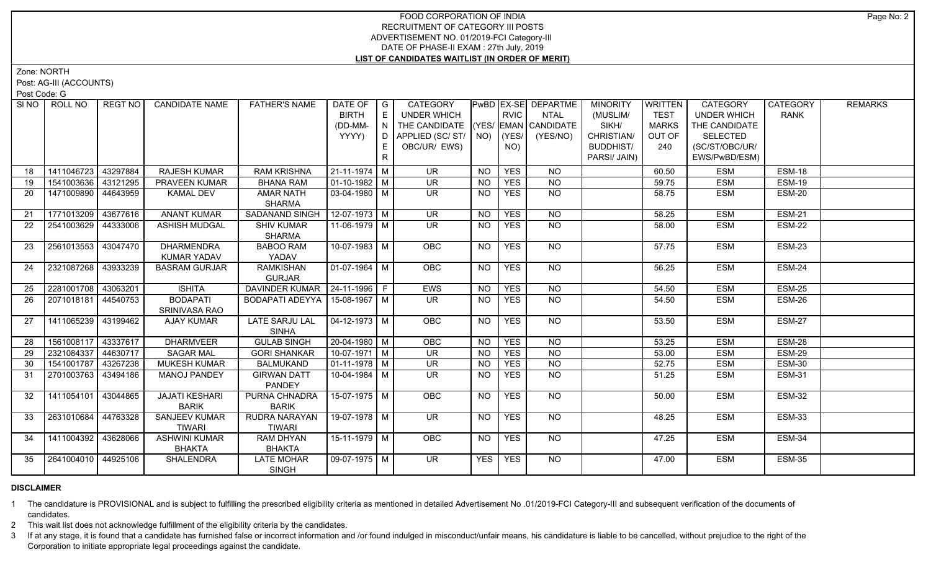Zone: NORTH

Post: AG-III (ACCOUNTS)

Post Code: G

| SI NO | ROLL NO             | REGT NO  | <b>CANDIDATE NAME</b> | <b>FATHER'S NAME</b>                             | DATE OF $ G $<br><b>BIRTH</b><br>(DD-MM- | E<br>$\overline{N}$ | CATEGORY<br><b>UNDER WHICH</b><br>THE CANDIDATE (YES/ EMAN CANDIDATE |                 | <b>RVIC</b> | PwBD EX-SE DEPARTME<br><b>NTAL</b> | <b>MINORITY</b><br>(MUSLIM/<br>SIKH/ | <b>WRITTEN</b><br><b>TEST</b><br><b>MARKS</b> | CATEGORY<br><b>UNDER WHICH</b><br>THE CANDIDATE | CATEGORY<br><b>RANK</b> | <b>REMARKS</b> |
|-------|---------------------|----------|-----------------------|--------------------------------------------------|------------------------------------------|---------------------|----------------------------------------------------------------------|-----------------|-------------|------------------------------------|--------------------------------------|-----------------------------------------------|-------------------------------------------------|-------------------------|----------------|
|       |                     |          |                       |                                                  | YYYY)                                    | D.                  | APPLIED (SC/ST/ NO)                                                  |                 | (YES/       | (YES/NO)                           | CHRISTIAN/                           | OUT OF                                        | <b>SELECTED</b>                                 |                         |                |
|       |                     |          |                       |                                                  |                                          | E                   | OBC/UR/ EWS)                                                         |                 | NO)         |                                    | <b>BUDDHIST/</b>                     | 240                                           | (SC/ST/OBC/UR/                                  |                         |                |
|       |                     |          |                       |                                                  |                                          | R                   |                                                                      |                 |             |                                    | PARSI/ JAIN)                         |                                               | EWS/PwBD/ESM)                                   |                         |                |
|       |                     |          |                       |                                                  |                                          |                     |                                                                      |                 |             |                                    |                                      |                                               |                                                 |                         |                |
| 18    | 1411046723          | 43297884 | <b>RAJESH KUMAR</b>   | <b>RAM KRISHNA</b>                               | 21-11-1974 M                             |                     | <b>UR</b>                                                            | <b>NO</b>       | <b>YES</b>  | <b>NO</b>                          |                                      | 60.50                                         | <b>ESM</b>                                      | <b>ESM-18</b>           |                |
| 19    | 1541003636 43121295 |          | <b>PRAVEEN KUMAR</b>  | <b>BHANA RAM</b>                                 | $01-10-1982$ M                           |                     | <b>UR</b>                                                            | <b>NO</b>       | <b>YES</b>  | NO                                 |                                      | 59.75                                         | <b>ESM</b>                                      | <b>ESM-19</b>           |                |
| 20    | 1471009890 44643959 |          | <b>KAMAL DEV</b>      | <b>AMAR NATH</b>                                 | 03-04-1980 M                             |                     | $\overline{\mathsf{UR}}$                                             | <b>NO</b>       | <b>YES</b>  | $N$ <sup>O</sup>                   |                                      | 58.75                                         | <b>ESM</b>                                      | <b>ESM-20</b>           |                |
|       |                     |          |                       | <b>SHARMA</b>                                    |                                          |                     |                                                                      |                 |             |                                    |                                      |                                               |                                                 |                         |                |
| 21    | 1771013209          | 43677616 | <b>ANANT KUMAR</b>    | SADANAND SINGH                                   | $12-07-1973$ M                           |                     | $\overline{\mathsf{UR}}$                                             | $\overline{NO}$ | <b>YES</b>  | N <sub>O</sub>                     |                                      | 58.25                                         | <b>ESM</b>                                      | <b>ESM-21</b>           |                |
| 22    | 2541003629          | 44333006 | <b>ASHISH MUDGAL</b>  | <b>SHIV KUMAR</b>                                | 11-06-1979 M                             |                     | $\overline{\mathsf{UR}}$                                             | <b>NO</b>       | <b>YES</b>  | <b>NO</b>                          |                                      | 58.00                                         | <b>ESM</b>                                      | <b>ESM-22</b>           |                |
|       |                     |          |                       | <b>SHARMA</b>                                    |                                          |                     |                                                                      |                 |             |                                    |                                      |                                               |                                                 |                         |                |
| 23    | 2561013553          | 43047470 | <b>DHARMENDRA</b>     | <b>BABOO RAM</b>                                 | 10-07-1983 M                             |                     | OBC                                                                  | <b>NO</b>       | <b>YES</b>  | NO                                 |                                      | 57.75                                         | <b>ESM</b>                                      | ESM-23                  |                |
|       |                     |          | <b>KUMAR YADAV</b>    | YADAV                                            |                                          |                     |                                                                      |                 |             |                                    |                                      |                                               |                                                 |                         |                |
| 24    | 2321087268          | 43933239 | <b>BASRAM GURJAR</b>  | <b>RAMKISHAN</b>                                 | $\boxed{01-07-1964}$ M                   |                     | <b>OBC</b>                                                           | <b>NO</b>       | <b>YES</b>  | NO.                                |                                      | 56.25                                         | <b>ESM</b>                                      | <b>ESM-24</b>           |                |
|       |                     |          |                       | <b>GURJAR</b><br>DAVINDER KUMAR   24-11-1996   F |                                          |                     |                                                                      |                 |             |                                    |                                      |                                               |                                                 |                         |                |
| 25    | 2281001708          | 43063201 | <b>ISHITA</b>         |                                                  |                                          |                     | <b>EWS</b>                                                           | <b>NO</b>       | <b>YES</b>  | <b>NO</b>                          |                                      | 54.50                                         | <b>ESM</b>                                      | <b>ESM-25</b>           |                |
| 26    | 2071018181 44540753 |          | <b>BODAPATI</b>       | BODAPATI ADEYYA   15-08-1967   M                 |                                          |                     | <b>UR</b>                                                            | <b>NO</b>       | <b>YES</b>  | $N$ O                              |                                      | 54.50                                         | <b>ESM</b>                                      | <b>ESM-26</b>           |                |
|       |                     |          | SRINIVASA RAO         |                                                  |                                          |                     |                                                                      |                 |             |                                    |                                      |                                               |                                                 |                         |                |
| 27    | 1411065239 43199462 |          | <b>AJAY KUMAR</b>     | <b>LATE SARJU LAL</b><br><b>SINHA</b>            | 04-12-1973   M                           |                     | <b>OBC</b>                                                           | <b>NO</b>       | <b>YES</b>  | NO                                 |                                      | 53.50                                         | <b>ESM</b>                                      | <b>ESM-27</b>           |                |
| 28    | 1561008117          | 43337617 | <b>DHARMVEER</b>      | <b>GULAB SINGH</b>                               | 20-04-1980 M                             |                     | OBC                                                                  | <b>NO</b>       | <b>YES</b>  | <b>NO</b>                          |                                      | 53.25                                         | <b>ESM</b>                                      | <b>ESM-28</b>           |                |
| 29    | 2321084337          | 44630717 | <b>SAGAR MAL</b>      | <b>GORI SHANKAR</b>                              | $10-07-1971$ M                           |                     | $\overline{\mathsf{UR}}$                                             | <b>NO</b>       | <b>YES</b>  | $\overline{N}$                     |                                      | 53.00                                         | <b>ESM</b>                                      | <b>ESM-29</b>           |                |
| 30    | 1541001787          | 43267238 | <b>MUKESH KUMAR</b>   | <b>BALMUKAND</b>                                 | $01-11-1978$ M                           |                     | <b>UR</b>                                                            | <b>NO</b>       | <b>YES</b>  | <b>NO</b>                          |                                      | 52.75                                         | <b>ESM</b>                                      | <b>ESM-30</b>           |                |
| 31    | 2701003763          | 43494186 | <b>MANOJ PANDEY</b>   | <b>GIRWAN DATT</b><br><b>PANDEY</b>              | 10-04-1984 M                             |                     | <b>UR</b>                                                            | <b>NO</b>       | <b>YES</b>  | <b>NO</b>                          |                                      | 51.25                                         | <b>ESM</b>                                      | <b>ESM-31</b>           |                |
| 32    | 1411054101          | 43044865 | <b>JAJATI KESHARI</b> | PURNA CHNADRA                                    | 15-07-1975 M                             |                     | <b>OBC</b>                                                           | NO.             | <b>YES</b>  | NO.                                |                                      | 50.00                                         | <b>ESM</b>                                      | <b>ESM-32</b>           |                |
|       |                     |          | <b>BARIK</b>          | <b>BARIK</b>                                     |                                          |                     |                                                                      |                 |             |                                    |                                      |                                               |                                                 |                         |                |
| 33    | 2631010684          | 44763328 | <b>SANJEEV KUMAR</b>  | RUDRA NARAYAN                                    | 19-07-1978 M                             |                     | $\overline{\mathsf{UR}}$                                             | <b>NO</b>       | <b>YES</b>  | $N$ <sup>O</sup>                   |                                      | 48.25                                         | <b>ESM</b>                                      | <b>ESM-33</b>           |                |
|       |                     |          | <b>TIWARI</b>         | <b>TIWARI</b>                                    |                                          |                     |                                                                      |                 |             |                                    |                                      |                                               |                                                 |                         |                |
| 34    | 1411004392 43628066 |          | <b>ASHWINI KUMAR</b>  | RAM DHYAN                                        | $15-11-1979$ M                           |                     | <b>OBC</b>                                                           | <b>NO</b>       | <b>YES</b>  | NO.                                |                                      | 47.25                                         | <b>ESM</b>                                      | <b>ESM-34</b>           |                |
|       |                     |          | <b>BHAKTA</b>         | <b>BHAKTA</b>                                    |                                          |                     |                                                                      |                 |             |                                    |                                      |                                               |                                                 |                         |                |
| 35    | 2641004010 44925106 |          | <b>SHALENDRA</b>      | <b>LATE MOHAR</b><br><b>SINGH</b>                | 09-07-1975 M                             |                     | UR.                                                                  | <b>YES</b>      | <b>YES</b>  | NO                                 |                                      | 47.00                                         | <b>ESM</b>                                      | <b>ESM-35</b>           |                |

# **DISCLAIMER**

1 The candidature is PROVISIONAL and is subject to fulfilling the prescribed eligibility criteria as mentioned in detailed Advertisement No .01/2019-FCI Category-III and subsequent verification of the documents of candidates.

2 This wait list does not acknowledge fulfillment of the eligibility criteria by the candidates.

3 If at any stage, it is found that a candidate has furnished false or incorrect information and /or found indulged in misconduct/unfair means, his candidature is liable to be cancelled, without prejudice to the right of t Corporation to initiate appropriate legal proceedings against the candidate.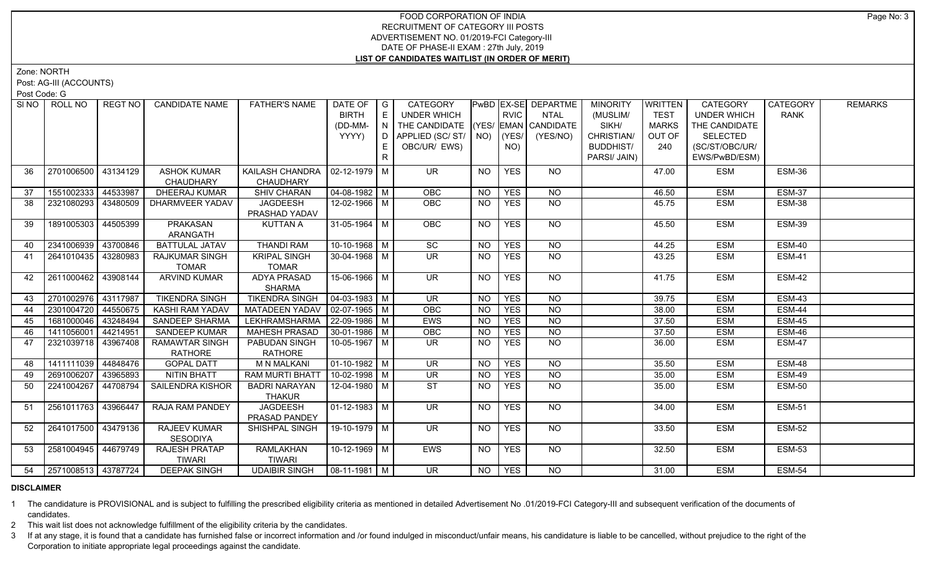Zone: NORTH

Post: AG-III (ACCOUNTS)

Post Code: G

| SINO | ROLL NO             | <b>REGT NO</b> | <b>CANDIDATE NAME</b>  | <b>FATHER'S NAME</b>            | DATE OF   G                  |     | CATEGORY                           |                |             | PwBD EX-SE DEPARTME | <b>MINORITY</b>  | WRITTEN      | CATEGORY           | <b>CATEGORY</b> | <b>REMARKS</b> |
|------|---------------------|----------------|------------------------|---------------------------------|------------------------------|-----|------------------------------------|----------------|-------------|---------------------|------------------|--------------|--------------------|-----------------|----------------|
|      |                     |                |                        |                                 | <b>BIRTH</b>                 | E   | UNDER WHICH                        |                | <b>RVIC</b> | <b>NTAL</b>         | (MUSLIM/         | <b>TEST</b>  | <b>UNDER WHICH</b> | <b>RANK</b>     |                |
|      |                     |                |                        |                                 | (DD-MM-                      | N   | THE CANDIDATE (YES/ EMAN CANDIDATE |                |             |                     | SIKH/            | <b>MARKS</b> | THE CANDIDATE      |                 |                |
|      |                     |                |                        |                                 | YYYY)                        | D I | APPLIED (SC/ ST/   NO)             |                | (YES/       | (YES/NO)            | CHRISTIAN/       | OUT OF       | <b>SELECTED</b>    |                 |                |
|      |                     |                |                        |                                 |                              | E.  | OBC/UR/ EWS)                       |                | NO)         |                     | <b>BUDDHIST/</b> | 240          | (SC/ST/OBC/UR/     |                 |                |
|      |                     |                |                        |                                 |                              | R   |                                    |                |             |                     | PARSI/ JAIN)     |              | EWS/PwBD/ESM)      |                 |                |
| 36   | 2701006500 43134129 |                | <b>ASHOK KUMAR</b>     | KAILASH CHANDRA                 | $\vert$ 02-12-1979 $\vert$ M |     | <b>UR</b>                          | <b>NO</b>      | <b>YES</b>  | NO                  |                  | 47.00        | <b>ESM</b>         | ESM-36          |                |
|      |                     |                | CHAUDHARY              | <b>CHAUDHARY</b>                |                              |     |                                    |                |             |                     |                  |              |                    |                 |                |
| 37   | 1551002333 44533987 |                | <b>DHEERAJ KUMAR</b>   | SHIV CHARAN                     | 04-08-1982 M                 |     | OBC                                | <b>NO</b>      | <b>YES</b>  | <b>NO</b>           |                  | 46.50        | <b>ESM</b>         | <b>ESM-37</b>   |                |
| 38   | 2321080293 43480509 |                | <b>DHARMVEER YADAV</b> | JAGDEESH                        | 12-02-1966 M                 |     | <b>OBC</b>                         | <b>NO</b>      | <b>YES</b>  | <b>NO</b>           |                  | 45.75        | <b>ESM</b>         | <b>ESM-38</b>   |                |
|      |                     |                |                        | PRASHAD YADAV                   |                              |     |                                    |                |             |                     |                  |              |                    |                 |                |
| 39   | 1891005303 44505399 |                | <b>PRAKASAN</b>        | <b>KUTTAN A</b>                 | 31-05-1964 M                 |     | OBC                                | <b>NO</b>      | <b>YES</b>  | N <sub>O</sub>      |                  | 45.50        | <b>ESM</b>         | <b>ESM-39</b>   |                |
|      |                     |                | ARANGATH               |                                 |                              |     |                                    |                |             |                     |                  |              |                    |                 |                |
| 40   | 2341006939 43700846 |                | <b>BATTULAL JATAV</b>  | <b>THANDI RAM</b>               | $10-10-1968$ M               |     | $\overline{SC}$                    | N <sub>O</sub> | <b>YES</b>  | $\overline{NO}$     |                  | 44.25        | <b>ESM</b>         | <b>ESM-40</b>   |                |
| 41   | 2641010435 43280983 |                | <b>RAJKUMAR SINGH</b>  | <b>KRIPAL SINGH</b>             | $30 - 04 - 1968$ M           |     | $\overline{\mathsf{UR}}$           | <b>NO</b>      | <b>YES</b>  | NO                  |                  | 43.25        | <b>ESM</b>         | <b>ESM-41</b>   |                |
|      |                     |                | <b>TOMAR</b>           | <b>TOMAR</b>                    |                              |     |                                    |                |             |                     |                  |              |                    |                 |                |
| 42   | 2611000462 43908144 |                | <b>ARVIND KUMAR</b>    | <b>ADYA PRASAD</b>              | $15-06-1966$ M               |     | $\overline{\mathsf{UR}}$           | <b>NO</b>      | <b>YES</b>  | NO                  |                  | 41.75        | <b>ESM</b>         | ESM-42          |                |
|      |                     |                |                        | <b>SHARMA</b>                   |                              |     |                                    |                |             |                     |                  |              |                    |                 |                |
| 43   | 2701002976 43117987 |                | <b>TIKENDRA SINGH</b>  | <b>TIKENDRA SINGH</b>           | $\sqrt{04-03-1983}$ M        |     | $\overline{\mathsf{UR}}$           | <b>NO</b>      | <b>YES</b>  | $N$ O               |                  | 39.75        | <b>ESM</b>         | <b>ESM-43</b>   |                |
| 44   | 2301004720 44550675 |                | KASHI RAM YADAV        | MATADEEN YADAV   02-07-1965   M |                              |     | <b>OBC</b>                         | <b>NO</b>      | <b>YES</b>  | $N$ O               |                  | 38.00        | <b>ESM</b>         | <b>ESM-44</b>   |                |
| 45   | 1681000046 43248494 |                | <b>SANDEEP SHARMA</b>  | LEKHRAMSHARMA                   | $ 22-09-1986 $ M             |     | <b>EWS</b>                         | <b>NO</b>      | <b>YES</b>  | N <sub>O</sub>      |                  | 37.50        | <b>ESM</b>         | <b>ESM-45</b>   |                |
| 46   | 1411056001 44214951 |                | <b>SANDEEP KUMAR</b>   | <b>MAHESH PRASAD</b>            | $30 - 01 - 1986$ M           |     | OBC                                | <b>NO</b>      | <b>YES</b>  | $N$ O               |                  | 37.50        | <b>ESM</b>         | <b>ESM-46</b>   |                |
| 47   | 2321039718 43967408 |                | <b>RAMAWTAR SINGH</b>  | PABUDAN SINGH                   | 10-05-1967   M               |     | $\overline{\mathsf{UR}}$           | <b>NO</b>      | <b>YES</b>  | <b>NO</b>           |                  | 36.00        | <b>ESM</b>         | <b>ESM-47</b>   |                |
|      |                     |                | <b>RATHORE</b>         | RATHORE                         |                              |     |                                    |                |             |                     |                  |              |                    |                 |                |
| 48   | 1411111039 44848476 |                | <b>GOPAL DATT</b>      | <b>M N MALKANI</b>              | $\vert$ 01-10-1982 $\vert$ M |     | <b>UR</b>                          | <b>NO</b>      | <b>YES</b>  | <b>NO</b>           |                  | 35.50        | <b>ESM</b>         | <b>ESM-48</b>   |                |
| 49   | 2691006207 43965893 |                | <b>NITIN BHATT</b>     | <b>RAM MURTI BHAT</b>           | $10-02-1998$ M               |     | <b>UR</b>                          | <b>NO</b>      | <b>YES</b>  | <b>NO</b>           |                  | 35.00        | <b>ESM</b>         | <b>ESM-49</b>   |                |
| 50   | 2241004267 44708794 |                | SAILENDRA KISHOR       | <b>BADRI NARAYAN</b>            | $12 - 04 - 1980$ M           |     | <b>ST</b>                          | <b>NO</b>      | <b>YES</b>  | <b>NO</b>           |                  | 35.00        | <b>ESM</b>         | <b>ESM-50</b>   |                |
|      |                     |                |                        | <b>THAKUR</b>                   |                              |     |                                    |                |             |                     |                  |              |                    |                 |                |
| 51   | 2561011763 43966447 |                | <b>RAJA RAM PANDEY</b> | <b>JAGDEESH</b>                 | $\mid$ 01-12-1983 $\mid$ M   |     | UR                                 | NO             | <b>YES</b>  | $N$ <sup>O</sup>    |                  | 34.00        | <b>ESM</b>         | <b>ESM-51</b>   |                |
|      |                     |                |                        | PRASAD PANDEY                   |                              |     |                                    |                |             |                     |                  |              |                    |                 |                |
| 52   | 2641017500 43479136 |                | <b>RAJEEV KUMAR</b>    | SHISHPAL SINGH                  | $19-10-1979$ M               |     | UR                                 | <b>NO</b>      | <b>YES</b>  | $N$ <sup>O</sup>    |                  | 33.50        | <b>ESM</b>         | <b>ESM-52</b>   |                |
|      |                     |                | <b>SESODIYA</b>        |                                 |                              |     |                                    |                |             |                     |                  |              |                    |                 |                |
| 53   | 2581004945 44679749 |                | <b>RAJESH PRATAP</b>   | <b>RAMLAKHAN</b>                | 10-12-1969   M               |     | <b>EWS</b>                         | NO.            | <b>YES</b>  | NO                  |                  | 32.50        | <b>ESM</b>         | <b>ESM-53</b>   |                |
|      |                     |                | <b>TIWARI</b>          | <b>TIWARI</b>                   |                              |     |                                    |                |             |                     |                  |              |                    |                 |                |
| 54   | 2571008513 43787724 |                | <b>DEEPAK SINGH</b>    | <b>UDAIBIR SINGH</b>            | $\sqrt{08-11-1981}$ M        |     | $\overline{\mathsf{UR}}$           | NO             | <b>YES</b>  | NO                  |                  | 31.00        | <b>ESM</b>         | <b>ESM-54</b>   |                |

# **DISCLAIMER**

1 The candidature is PROVISIONAL and is subject to fulfilling the prescribed eligibility criteria as mentioned in detailed Advertisement No .01/2019-FCI Category-III and subsequent verification of the documents of candidates.

2 This wait list does not acknowledge fulfillment of the eligibility criteria by the candidates.

3 If at any stage, it is found that a candidate has furnished false or incorrect information and /or found indulged in misconduct/unfair means, his candidature is liable to be cancelled, without prejudice to the right of t Corporation to initiate appropriate legal proceedings against the candidate.